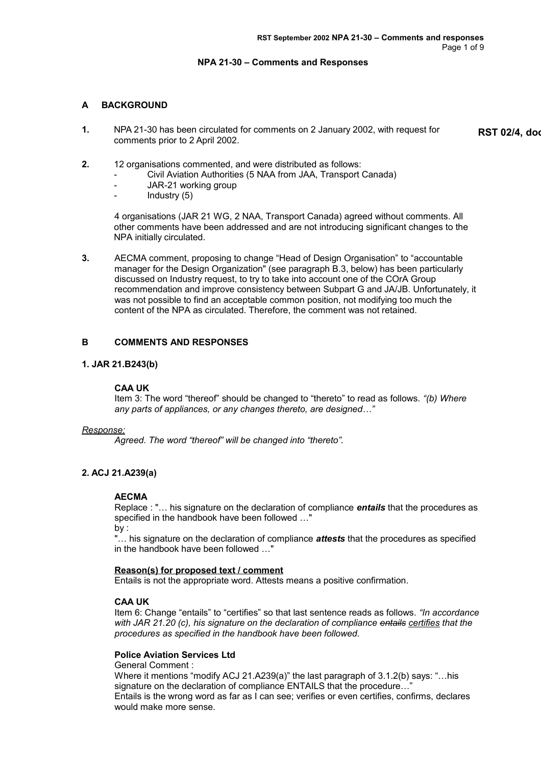## **NPA 21-30 – Comments and Responses**

# **A BACKGROUND**

**1.** NPA 21-30 has been circulated for comments on 2 January 2002, with request for comments prior to 2 April 2002.

**RST 02/4, doc** 

- **2.** 12 organisations commented, and were distributed as follows:
	- Civil Aviation Authorities (5 NAA from JAA, Transport Canada)
	- JAR-21 working group
	- Industry (5)

4 organisations (JAR 21 WG, 2 NAA, Transport Canada) agreed without comments. All other comments have been addressed and are not introducing significant changes to the NPA initially circulated.

**3.** AECMA comment, proposing to change "Head of Design Organisation" to "accountable manager for the Design Organization" (see paragraph B.3, below) has been particularly discussed on Industry request, to try to take into account one of the COrA Group recommendation and improve consistency between Subpart G and JA/JB. Unfortunately, it was not possible to find an acceptable common position, not modifying too much the content of the NPA as circulated. Therefore, the comment was not retained.

# **B COMMENTS AND RESPONSES**

# **1. JAR 21.B243(b)**

## **CAA UK**

Item 3: The word "thereof" should be changed to "thereto" to read as follows. *"(b) Where any parts of appliances, or any changes thereto, are designed…"*

## *Response:*

*Agreed. The word "thereof" will be changed into "thereto".* 

# **2. ACJ 21.A239(a)**

# **AECMA**

Replace : "… his signature on the declaration of compliance *entails* that the procedures as specified in the handbook have been followed …" by :

"… his signature on the declaration of compliance *attests* that the procedures as specified in the handbook have been followed …"

## **Reason(s) for proposed text / comment**

Entails is not the appropriate word. Attests means a positive confirmation.

## **CAA UK**

Item 6: Change "entails" to "certifies" so that last sentence reads as follows. *"In accordance with JAR 21.20 (c), his signature on the declaration of compliance entails certifies that the procedures as specified in the handbook have been followed.*

## **Police Aviation Services Ltd**

General Comment :

Where it mentions "modify ACJ 21.A239(a)" the last paragraph of 3.1.2(b) says: "…his signature on the declaration of compliance ENTAILS that the procedure…" Entails is the wrong word as far as I can see; verifies or even certifies, confirms, declares would make more sense.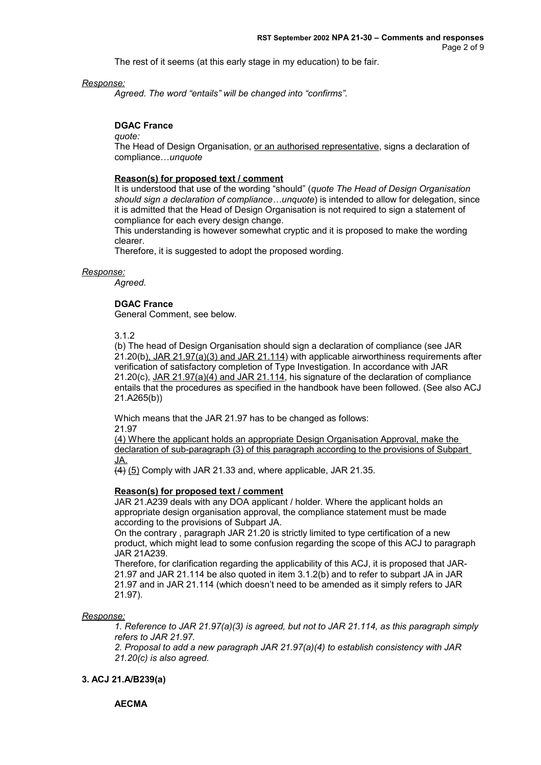The rest of it seems (at this early stage in my education) to be fair.

### *Response:*

*Agreed. The word "entails" will be changed into "confirms".* 

## **DGAC France**

*quote:*

The Head of Design Organisation, or an authorised representative, signs a declaration of compliance…*unquote*

### **Reason(s) for proposed text / comment**

It is understood that use of the wording "should" (*quote The Head of Design Organisation should sign a declaration of compliance…unquote*) is intended to allow for delegation, since it is admitted that the Head of Design Organisation is not required to sign a statement of compliance for each every design change.

This understanding is however somewhat cryptic and it is proposed to make the wording clearer.

Therefore, it is suggested to adopt the proposed wording.

### *Response:*

*Agreed.*

## **DGAC France**

General Comment, see below.

3.1.2

(b) The head of Design Organisation should sign a declaration of compliance (see JAR 21.20(b), JAR 21.97(a)(3) and JAR 21.114) with applicable airworthiness requirements after verification of satisfactory completion of Type Investigation. In accordance with JAR 21.20(c), JAR 21.97(a)(4) and JAR 21.114, his signature of the declaration of compliance entails that the procedures as specified in the handbook have been followed. (See also ACJ 21.A265(b))

Which means that the JAR 21.97 has to be changed as follows: 21.97

(4) Where the applicant holds an appropriate Design Organisation Approval, make the declaration of sub-paragraph (3) of this paragraph according to the provisions of Subpart JA.

 $(4)$  (5) Comply with JAR 21.33 and, where applicable, JAR 21.35.

### **Reason(s) for proposed text / comment**

JAR 21.A239 deals with any DOA applicant / holder. Where the applicant holds an appropriate design organisation approval, the compliance statement must be made according to the provisions of Subpart JA.

On the contrary , paragraph JAR 21.20 is strictly limited to type certification of a new product, which might lead to some confusion regarding the scope of this ACJ to paragraph JAR 21A239.

Therefore, for clarification regarding the applicability of this ACJ, it is proposed that JAR-21.97 and JAR 21.114 be also quoted in item 3.1.2(b) and to refer to subpart JA in JAR 21.97 and in JAR 21.114 (which doesn't need to be amended as it simply refers to JAR 21.97).

## *Response:*

*1. Reference to JAR 21.97(a)(3) is agreed, but not to JAR 21.114, as this paragraph simply refers to JAR 21.97.*

*2. Proposal to add a new paragraph JAR 21.97(a)(4) to establish consistency with JAR 21.20(c) is also agreed.*

# **3. ACJ 21.A/B239(a)**

**AECMA**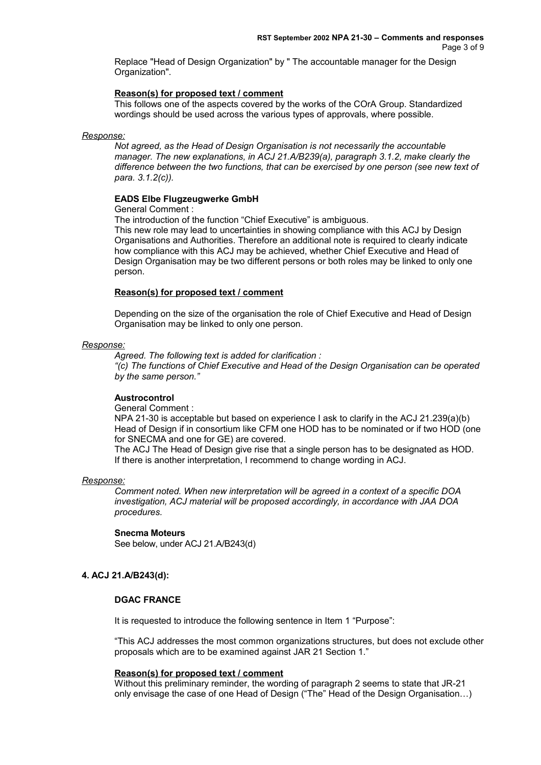Replace "Head of Design Organization" by " The accountable manager for the Design Organization".

## **Reason(s) for proposed text / comment**

This follows one of the aspects covered by the works of the COrA Group. Standardized wordings should be used across the various types of approvals, where possible.

#### *Response:*

*Not agreed, as the Head of Design Organisation is not necessarily the accountable manager. The new explanations, in ACJ 21.A/B239(a), paragraph 3.1.2, make clearly the difference between the two functions, that can be exercised by one person (see new text of para. 3.1.2(c)).* 

### **EADS Elbe Flugzeugwerke GmbH**

General Comment :

The introduction of the function "Chief Executive" is ambiguous.

This new role may lead to uncertainties in showing compliance with this ACJ by Design Organisations and Authorities. Therefore an additional note is required to clearly indicate how compliance with this ACJ may be achieved, whether Chief Executive and Head of Design Organisation may be two different persons or both roles may be linked to only one person.

# **Reason(s) for proposed text / comment**

Depending on the size of the organisation the role of Chief Executive and Head of Design Organisation may be linked to only one person.

### *Response:*

*Agreed. The following text is added for clarification : "(c) The functions of Chief Executive and Head of the Design Organisation can be operated by the same person."* 

## **Austrocontrol**

### General Comment :

NPA 21-30 is acceptable but based on experience I ask to clarify in the ACJ 21.239(a)(b) Head of Design if in consortium like CFM one HOD has to be nominated or if two HOD (one for SNECMA and one for GE) are covered.

The ACJ The Head of Design give rise that a single person has to be designated as HOD. If there is another interpretation, I recommend to change wording in ACJ.

### *Response:*

*Comment noted. When new interpretation will be agreed in a context of a specific DOA investigation, ACJ material will be proposed accordingly, in accordance with JAA DOA procedures.*

### **Snecma Moteurs**

See below, under ACJ 21.A/B243(d)

## **4. ACJ 21.A/B243(d):**

### **DGAC FRANCE**

It is requested to introduce the following sentence in Item 1 "Purpose":

"This ACJ addresses the most common organizations structures, but does not exclude other proposals which are to be examined against JAR 21 Section 1."

### **Reason(s) for proposed text / comment**

Without this preliminary reminder, the wording of paragraph 2 seems to state that JR-21 only envisage the case of one Head of Design ("The" Head of the Design Organisation…)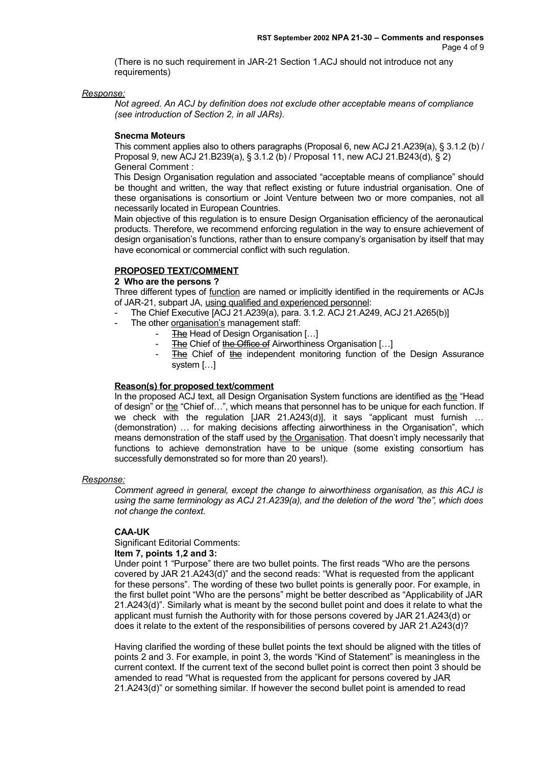(There is no such requirement in JAR-21 Section 1.ACJ should not introduce not any requirements)

*Response:*

*Not agreed. An ACJ by definition does not exclude other acceptable means of compliance (see introduction of Section 2, in all JARs).* 

### **Snecma Moteurs**

This comment applies also to others paragraphs (Proposal 6, new ACJ 21.A239(a), § 3.1.2 (b) / Proposal 9, new ACJ 21.B239(a), § 3.1.2 (b) / Proposal 11, new ACJ 21.B243(d), § 2) General Comment :

This Design Organisation regulation and associated "acceptable means of compliance" should be thought and written, the way that reflect existing or future industrial organisation. One of these organisations is consortium or Joint Venture between two or more companies, not all necessarily located in European Countries.

Main objective of this regulation is to ensure Design Organisation efficiency of the aeronautical products. Therefore, we recommend enforcing regulation in the way to ensure achievement of design organisation's functions, rather than to ensure company's organisation by itself that may have economical or commercial conflict with such regulation.

# **PROPOSED TEXT/COMMENT**

## **2 Who are the persons ?**

Three different types of function are named or implicitly identified in the requirements or ACJs of JAR-21, subpart JA, using qualified and experienced personnel:

- The Chief Executive [ACJ 21.A239(a), para. 3.1.2. ACJ 21.A249, ACJ 21.A265(b)]
- The other organisation's management staff:
	- The Head of Design Organisation [...]
	- The Chief of the Office of Airworthiness Organisation [...]
	- The Chief of the independent monitoring function of the Design Assurance system […]

## **Reason(s) for proposed text/comment**

In the proposed ACJ text, all Design Organisation System functions are identified as the "Head of design" or the "Chief of...", which means that personnel has to be unique for each function. If we check with the regulation [JAR 21.A243(d)], it says "applicant must furnish ... (demonstration) … for making decisions affecting airworthiness in the Organisation", which means demonstration of the staff used by the Organisation. That doesn't imply necessarily that functions to achieve demonstration have to be unique (some existing consortium has successfully demonstrated so for more than 20 years!).

## *Response:*

*Comment agreed in general, except the change to airworthiness organisation, as this ACJ is using the same terminology as ACJ 21.A239(a), and the deletion of the word "the", which does not change the context.* 

## **CAA-UK**

Significant Editorial Comments:

### **Item 7, points 1,2 and 3:**

Under point 1 "Purpose" there are two bullet points. The first reads "Who are the persons covered by JAR 21.A243(d)" and the second reads: "What is requested from the applicant for these persons". The wording of these two bullet points is generally poor. For example, in the first bullet point "Who are the persons" might be better described as "Applicability of JAR 21.A243(d)". Similarly what is meant by the second bullet point and does it relate to what the applicant must furnish the Authority with for those persons covered by JAR 21.A243(d) or does it relate to the extent of the responsibilities of persons covered by JAR 21.A243(d)?

Having clarified the wording of these bullet points the text should be aligned with the titles of points 2 and 3. For example, in point 3, the words "Kind of Statement" is meaningless in the current context. If the current text of the second bullet point is correct then point 3 should be amended to read "What is requested from the applicant for persons covered by JAR 21.A243(d)" or something similar. If however the second bullet point is amended to read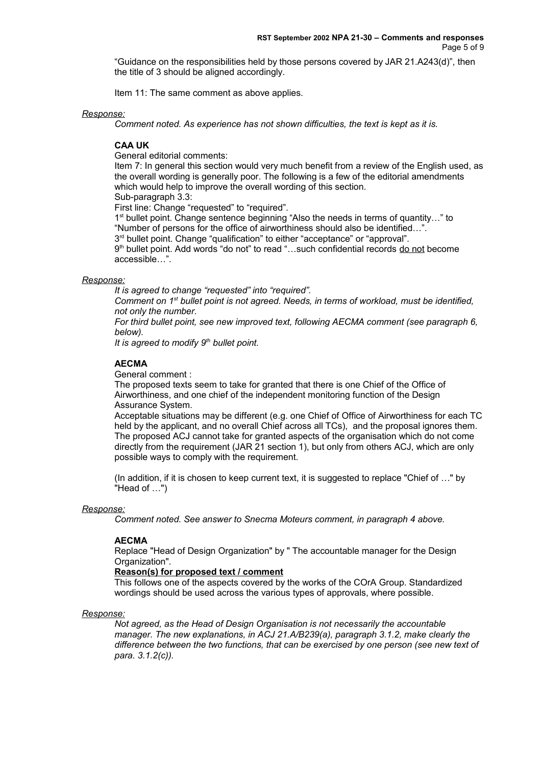"Guidance on the responsibilities held by those persons covered by JAR 21.A243(d)", then the title of 3 should be aligned accordingly.

Item 11: The same comment as above applies.

### *Response:*

*Comment noted. As experience has not shown difficulties, the text is kept as it is.*

# **CAA UK**

General editorial comments:

Item 7: In general this section would very much benefit from a review of the English used, as the overall wording is generally poor. The following is a few of the editorial amendments which would help to improve the overall wording of this section. Sub-paragraph 3.3:

First line: Change "requested" to "required".

1<sup>st</sup> bullet point. Change sentence beginning "Also the needs in terms of quantity..." to "Number of persons for the office of airworthiness should also be identified…".

3<sup>rd</sup> bullet point. Change "qualification" to either "acceptance" or "approval".

9<sup>th</sup> bullet point. Add words "do not" to read "…such confidential records <u>do not</u> become accessible…".

### *Response:*

*It is agreed to change "requested" into "required".*

*Comment on 1st bullet point is not agreed. Needs, in terms of workload, must be identified, not only the number.* 

*For third bullet point, see new improved text, following AECMA comment (see paragraph 6, below).*

*It is agreed to modify 9th bullet point.*

## **AECMA**

General comment :

The proposed texts seem to take for granted that there is one Chief of the Office of Airworthiness, and one chief of the independent monitoring function of the Design Assurance System.

Acceptable situations may be different (e.g. one Chief of Office of Airworthiness for each TC held by the applicant, and no overall Chief across all TCs), and the proposal ignores them. The proposed ACJ cannot take for granted aspects of the organisation which do not come directly from the requirement (JAR 21 section 1), but only from others ACJ, which are only possible ways to comply with the requirement.

(In addition, if it is chosen to keep current text, it is suggested to replace "Chief of …" by "Head of …")

### *Response:*

*Comment noted. See answer to Snecma Moteurs comment, in paragraph 4 above.*

## **AECMA**

Replace "Head of Design Organization" by " The accountable manager for the Design Organization".

# **Reason(s) for proposed text / comment**

This follows one of the aspects covered by the works of the COrA Group. Standardized wordings should be used across the various types of approvals, where possible.

## *Response:*

*Not agreed, as the Head of Design Organisation is not necessarily the accountable manager. The new explanations, in ACJ 21.A/B239(a), paragraph 3.1.2, make clearly the difference between the two functions, that can be exercised by one person (see new text of para. 3.1.2(c)).*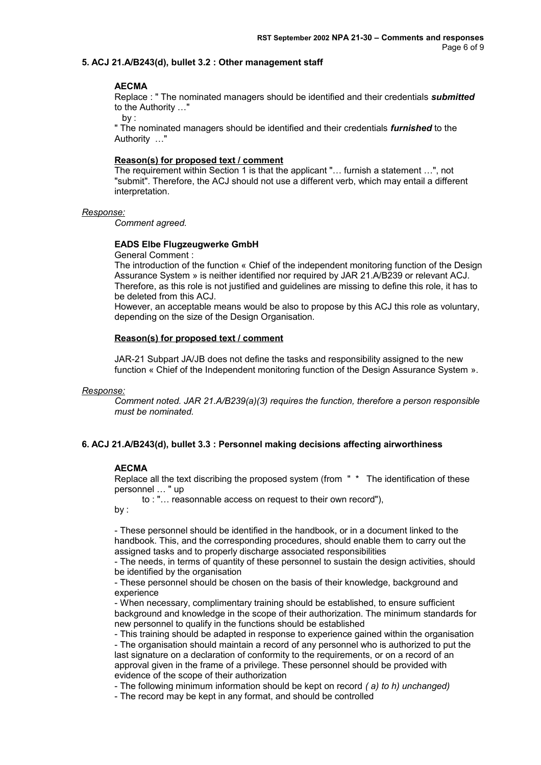## **5. ACJ 21.A/B243(d), bullet 3.2 : Other management staff**

## **AECMA**

Replace : " The nominated managers should be identified and their credentials *submitted* to the Authority …"

by :

" The nominated managers should be identified and their credentials *furnished* to the Authority …"

## **Reason(s) for proposed text / comment**

The requirement within Section 1 is that the applicant "… furnish a statement …", not "submit". Therefore, the ACJ should not use a different verb, which may entail a different interpretation.

### *Response:*

*Comment agreed.*

## **EADS Elbe Flugzeugwerke GmbH**

General Comment :

The introduction of the function « Chief of the independent monitoring function of the Design Assurance System » is neither identified nor required by JAR 21.A/B239 or relevant ACJ. Therefore, as this role is not justified and guidelines are missing to define this role, it has to be deleted from this ACJ.

However, an acceptable means would be also to propose by this ACJ this role as voluntary, depending on the size of the Design Organisation.

## **Reason(s) for proposed text / comment**

JAR-21 Subpart JA/JB does not define the tasks and responsibility assigned to the new function « Chief of the Independent monitoring function of the Design Assurance System ».

### *Response:*

*Comment noted. JAR 21.A/B239(a)(3) requires the function, therefore a person responsible must be nominated.* 

## **6. ACJ 21.A/B243(d), bullet 3.3 : Personnel making decisions affecting airworthiness**

## **AECMA**

Replace all the text discribing the proposed system (from " \* The identification of these personnel … " up

to : "… reasonnable access on request to their own record"),

by :

- These personnel should be identified in the handbook, or in a document linked to the handbook. This, and the corresponding procedures, should enable them to carry out the assigned tasks and to properly discharge associated responsibilities

- The needs, in terms of quantity of these personnel to sustain the design activities, should be identified by the organisation

- These personnel should be chosen on the basis of their knowledge, background and experience

- When necessary, complimentary training should be established, to ensure sufficient background and knowledge in the scope of their authorization. The minimum standards for new personnel to qualify in the functions should be established

- This training should be adapted in response to experience gained within the organisation - The organisation should maintain a record of any personnel who is authorized to put the last signature on a declaration of conformity to the requirements, or on a record of an approval given in the frame of a privilege. These personnel should be provided with evidence of the scope of their authorization

- The following minimum information should be kept on record *( a) to h) unchanged)*

- The record may be kept in any format, and should be controlled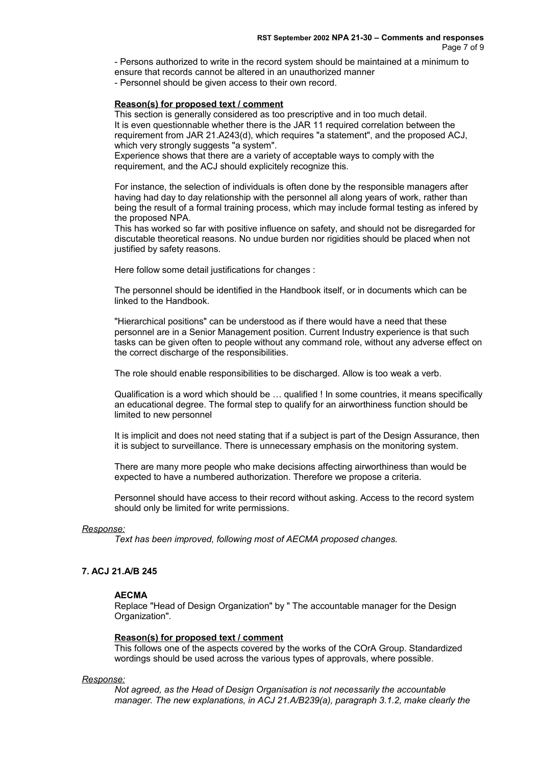- Persons authorized to write in the record system should be maintained at a minimum to ensure that records cannot be altered in an unauthorized manner - Personnel should be given access to their own record.

### **Reason(s) for proposed text / comment**

This section is generally considered as too prescriptive and in too much detail. It is even questionnable whether there is the JAR 11 required correlation between the requirement from JAR 21.A243(d), which requires "a statement", and the proposed ACJ, which very strongly suggests "a system".

Experience shows that there are a variety of acceptable ways to comply with the requirement, and the ACJ should explicitely recognize this.

For instance, the selection of individuals is often done by the responsible managers after having had day to day relationship with the personnel all along years of work, rather than being the result of a formal training process, which may include formal testing as infered by the proposed NPA.

This has worked so far with positive influence on safety, and should not be disregarded for discutable theoretical reasons. No undue burden nor rigidities should be placed when not justified by safety reasons.

Here follow some detail justifications for changes :

The personnel should be identified in the Handbook itself, or in documents which can be linked to the Handbook.

"Hierarchical positions" can be understood as if there would have a need that these personnel are in a Senior Management position. Current Industry experience is that such tasks can be given often to people without any command role, without any adverse effect on the correct discharge of the responsibilities.

The role should enable responsibilities to be discharged. Allow is too weak a verb.

Qualification is a word which should be … qualified ! In some countries, it means specifically an educational degree. The formal step to qualify for an airworthiness function should be limited to new personnel

It is implicit and does not need stating that if a subject is part of the Design Assurance, then it is subject to surveillance. There is unnecessary emphasis on the monitoring system.

There are many more people who make decisions affecting airworthiness than would be expected to have a numbered authorization. Therefore we propose a criteria.

Personnel should have access to their record without asking. Access to the record system should only be limited for write permissions.

## *Response:*

*Text has been improved, following most of AECMA proposed changes.* 

## **7. ACJ 21.A/B 245**

### **AECMA**

Replace "Head of Design Organization" by " The accountable manager for the Design Organization".

### **Reason(s) for proposed text / comment**

This follows one of the aspects covered by the works of the COrA Group. Standardized wordings should be used across the various types of approvals, where possible.

### *Response:*

*Not agreed, as the Head of Design Organisation is not necessarily the accountable manager. The new explanations, in ACJ 21.A/B239(a), paragraph 3.1.2, make clearly the*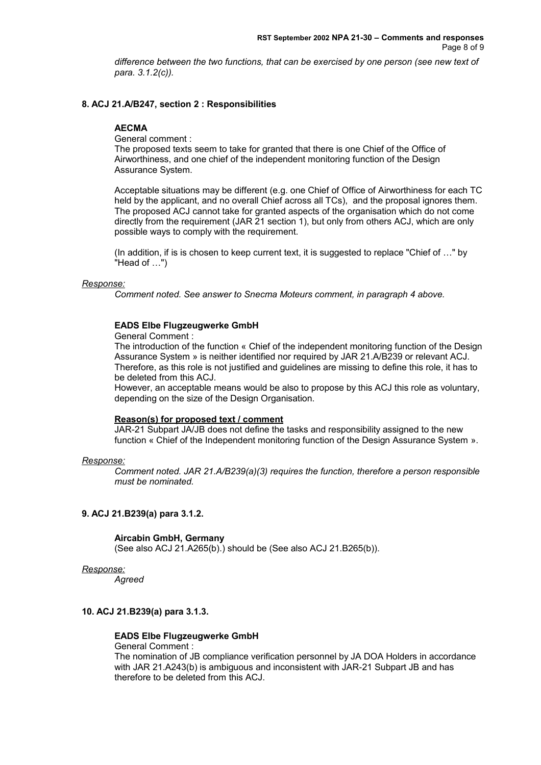*difference between the two functions, that can be exercised by one person (see new text of para. 3.1.2(c)).* 

## **8. ACJ 21.A/B247, section 2 : Responsibilities**

## **AECMA**

General comment :

The proposed texts seem to take for granted that there is one Chief of the Office of Airworthiness, and one chief of the independent monitoring function of the Design Assurance System.

Acceptable situations may be different (e.g. one Chief of Office of Airworthiness for each TC held by the applicant, and no overall Chief across all TCs), and the proposal ignores them. The proposed ACJ cannot take for granted aspects of the organisation which do not come directly from the requirement (JAR 21 section 1), but only from others ACJ, which are only possible ways to comply with the requirement.

(In addition, if is is chosen to keep current text, it is suggested to replace "Chief of …" by "Head of …")

### *Response:*

*Comment noted. See answer to Snecma Moteurs comment, in paragraph 4 above.*

## **EADS Elbe Flugzeugwerke GmbH**

General Comment :

The introduction of the function « Chief of the independent monitoring function of the Design Assurance System » is neither identified nor required by JAR 21.A/B239 or relevant ACJ. Therefore, as this role is not justified and guidelines are missing to define this role, it has to be deleted from this ACJ.

However, an acceptable means would be also to propose by this ACJ this role as voluntary, depending on the size of the Design Organisation.

### **Reason(s) for proposed text / comment**

JAR-21 Subpart JA/JB does not define the tasks and responsibility assigned to the new function « Chief of the Independent monitoring function of the Design Assurance System ».

### *Response:*

*Comment noted. JAR 21.A/B239(a)(3) requires the function, therefore a person responsible must be nominated.* 

### **9. ACJ 21.B239(a) para 3.1.2.**

### **Aircabin GmbH, Germany**

(See also ACJ 21.A265(b).) should be (See also ACJ 21.B265(b)).

### *Response:*

*Agreed*

# **10. ACJ 21.B239(a) para 3.1.3.**

## **EADS Elbe Flugzeugwerke GmbH**

General Comment :

The nomination of JB compliance verification personnel by JA DOA Holders in accordance with JAR 21.A243(b) is ambiguous and inconsistent with JAR-21 Subpart JB and has therefore to be deleted from this ACJ.